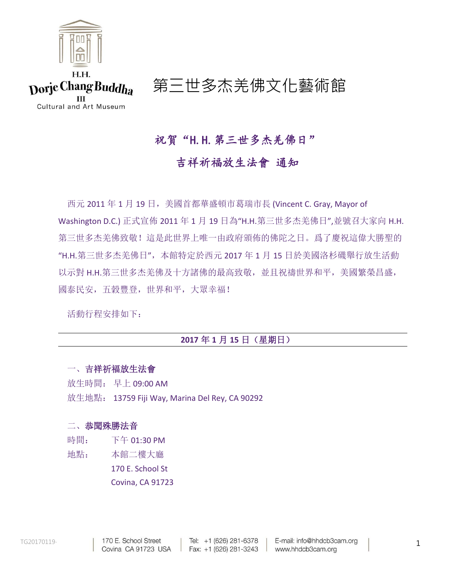

## 第三世多杰羌佛文化藝術館

## 祝賀"H.H.第三世多杰羌佛日"

## 吉祥祈福放生法會 通知

西元 2011 年 1 月 19 日, 美國首都華盛頓市葛瑞市長 (Vincent C. Gray, Mayor of Washington D.C.) 正式宣佈 2011 年 1 月 19 日為"H.H.第三世多杰羌佛日",並號召大家向 H.H. 第三世多杰羌佛致敬!這是此世界上唯一由政府頒佈的佛陀之日。爲了慶祝這偉大勝聖的 "H.H.第三世多杰羌佛日",本館特定於西元 2017 年 1 月 15 日於美國洛杉磯舉行放生活動 以示對 H.H.第三世多杰羌佛及十方諸佛的最高致敬, 並且祝禱世界和平, 美國繁榮昌盛, 國泰民安,五穀豐登,世界和平,大眾幸福!

活動行程安排如下:

### **2017** 年 **1** 月 **15** 日(星期日)

### 一、吉祥祈福放生法會

放生時間: 早上 09:00 AM 放生地點: 13759 Fiji Way, Marina Del Rey, CA 90292

### 二、恭聞殊勝法音

時間: 下午 01:30 PM 地點: 本館二樓大廳 170 E. School St

Covina, CA 91723